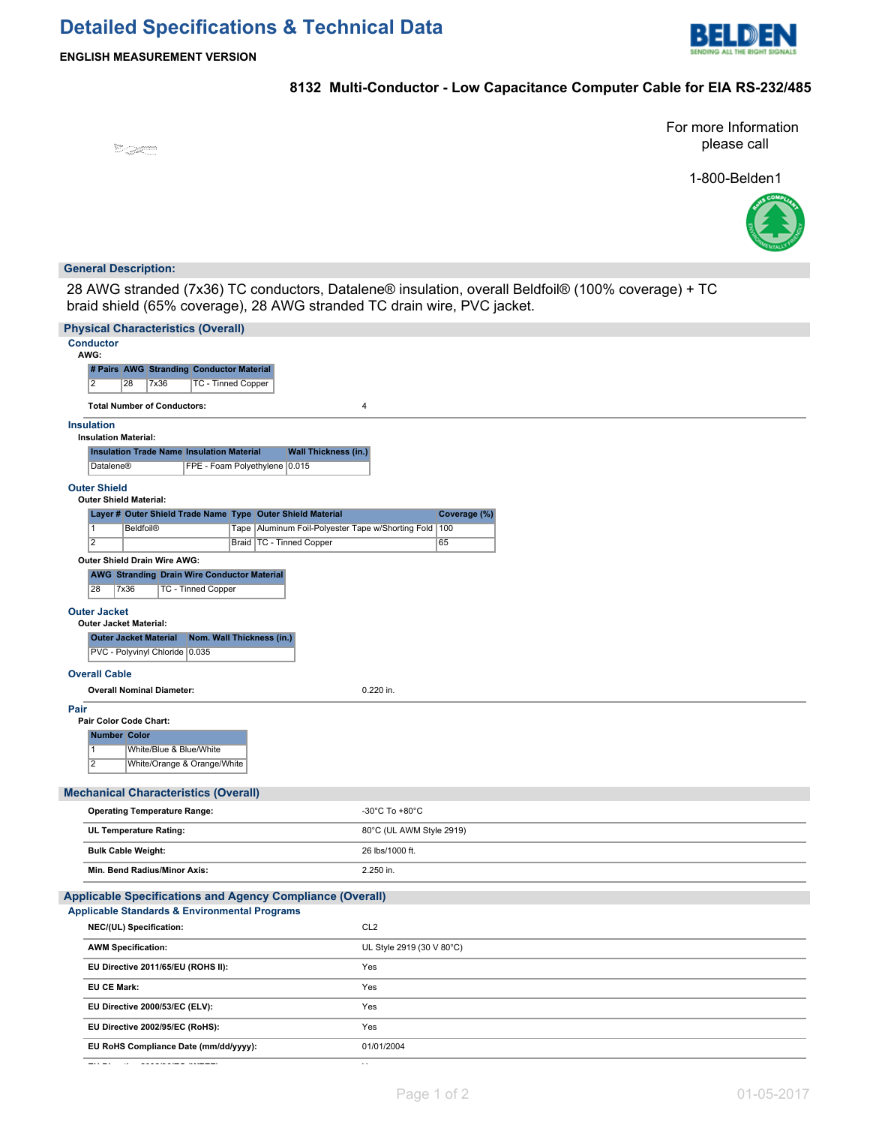# **Detailed Specifications & Technical Data**



## **8132 Multi-Conductor - Low Capacitance Computer Cable for EIA RS-232/485**

<sup>19</sup> Saffront Co

For more Information please call

1-800-Belden1



### **General Description:**

28 AWG stranded (7x36) TC conductors, Datalene® insulation, overall Beldfoil® (100% coverage) + TC braid shield (65% coverage), 28 AWG stranded TC drain wire, PVC jacket.

| <b>Physical Characteristics (Overall)</b>                                                                                                                                     |
|-------------------------------------------------------------------------------------------------------------------------------------------------------------------------------|
| <b>Conductor</b>                                                                                                                                                              |
| AWG:<br># Pairs AWG Stranding Conductor Material                                                                                                                              |
| $\overline{2}$<br>7x36<br><b>TC - Tinned Copper</b><br>28                                                                                                                     |
| <b>Total Number of Conductors:</b><br>$\overline{4}$                                                                                                                          |
|                                                                                                                                                                               |
| <b>Insulation</b><br><b>Insulation Material:</b>                                                                                                                              |
| <b>Insulation Trade Name Insulation Material</b><br><b>Wall Thickness (in.)</b>                                                                                               |
| <b>Datalene®</b><br>FPE - Foam Polyethylene 0.015                                                                                                                             |
| <b>Outer Shield</b>                                                                                                                                                           |
| <b>Outer Shield Material:</b>                                                                                                                                                 |
| Layer # Outer Shield Trade Name Type Outer Shield Material<br>Coverage (%)<br>$\overline{1}$<br><b>Beldfoil®</b><br>Tape   Aluminum Foil-Polyester Tape w/Shorting Fold   100 |
| $\overline{2}$<br>Braid   TC - Tinned Copper<br>65                                                                                                                            |
| Outer Shield Drain Wire AWG:                                                                                                                                                  |
| <b>AWG Stranding Drain Wire Conductor Material</b>                                                                                                                            |
| 28<br><b>7x36</b><br><b>TC - Tinned Copper</b>                                                                                                                                |
| <b>Outer Jacket</b>                                                                                                                                                           |
| <b>Outer Jacket Material:</b>                                                                                                                                                 |
| <b>Outer Jacket Material</b><br>Nom. Wall Thickness (in.)                                                                                                                     |
| PVC - Polyvinyl Chloride 0.035                                                                                                                                                |
| <b>Overall Cable</b>                                                                                                                                                          |
| <b>Overall Nominal Diameter:</b><br>0.220 in.                                                                                                                                 |
| Pair<br>Pair Color Code Chart:                                                                                                                                                |
| <b>Number Color</b>                                                                                                                                                           |
| $\overline{1}$<br>White/Blue & Blue/White                                                                                                                                     |
| $\overline{2}$<br>White/Orange & Orange/White                                                                                                                                 |
|                                                                                                                                                                               |
| <b>Mechanical Characteristics (Overall)</b><br>-30°C To +80°C                                                                                                                 |
| <b>Operating Temperature Range:</b>                                                                                                                                           |
| <b>UL Temperature Rating:</b><br>80°C (UL AWM Style 2919)                                                                                                                     |
| <b>Bulk Cable Weight:</b><br>26 lbs/1000 ft.                                                                                                                                  |
| Min. Bend Radius/Minor Axis:<br>2.250 in.                                                                                                                                     |
| <b>Applicable Specifications and Agency Compliance (Overall)</b>                                                                                                              |
| <b>Applicable Standards &amp; Environmental Programs</b>                                                                                                                      |
| NEC/(UL) Specification:<br>CL <sub>2</sub>                                                                                                                                    |
| <b>AWM Specification:</b><br>UL Style 2919 (30 V 80°C)                                                                                                                        |
| EU Directive 2011/65/EU (ROHS II):<br>Yes                                                                                                                                     |
| <b>EU CE Mark:</b><br>Yes                                                                                                                                                     |
|                                                                                                                                                                               |
| EU Directive 2000/53/EC (ELV):<br>Yes                                                                                                                                         |
| EU Directive 2002/95/EC (RoHS):<br>Yes                                                                                                                                        |
| EU RoHS Compliance Date (mm/dd/yyyy):<br>01/01/2004                                                                                                                           |
|                                                                                                                                                                               |